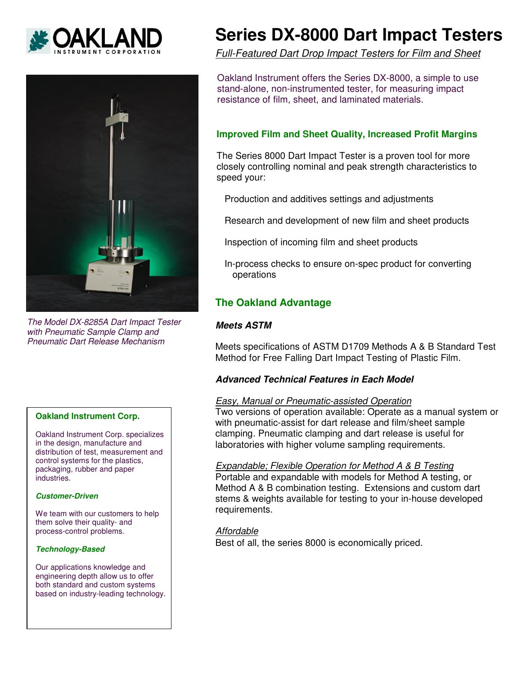



The Model DX-8285A Dart Impact Tester with Pneumatic Sample Clamp and Pneumatic Dart Release Mechanism

## **Oakland Instrument Corp.**

Oakland Instrument Corp. specializes in the design, manufacture and distribution of test, measurement and control systems for the plastics, packaging, rubber and paper industries.

#### **Customer-Driven**

We team with our customers to help them solve their quality- and process-control problems.

### **Technology-Based**

Our applications knowledge and engineering depth allow us to offer both standard and custom systems based on industry-leading technology.

# **Series DX-8000 Dart Impact Testers**

Full-Featured Dart Drop Impact Testers for Film and Sheet

Oakland Instrument offers the Series DX-8000, a simple to use stand-alone, non-instrumented tester, for measuring impact resistance of film, sheet, and laminated materials.

# **Improved Film and Sheet Quality, Increased Profit Margins**

The Series 8000 Dart Impact Tester is a proven tool for more closely controlling nominal and peak strength characteristics to speed your:

Production and additives settings and adjustments

Research and development of new film and sheet products

Inspection of incoming film and sheet products

 In-process checks to ensure on-spec product for converting operations

# **The Oakland Advantage**

## **Meets ASTM**

Meets specifications of ASTM D1709 Methods A & B Standard Test Method for Free Falling Dart Impact Testing of Plastic Film.

## **Advanced Technical Features in Each Model**

## Easy, Manual or Pneumatic-assisted Operation

Two versions of operation available: Operate as a manual system or with pneumatic-assist for dart release and film/sheet sample clamping. Pneumatic clamping and dart release is useful for laboratories with higher volume sampling requirements.

## Expandable; Flexible Operation for Method A & B Testing

Portable and expandable with models for Method A testing, or Method A & B combination testing. Extensions and custom dart stems & weights available for testing to your in-house developed requirements.

**Affordable** Best of all, the series 8000 is economically priced.